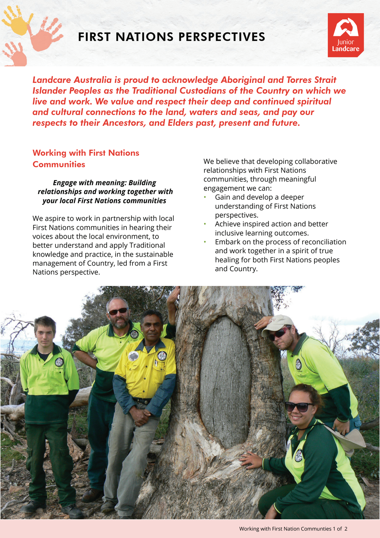

## FIRST NATIONS PERSPECTIVES



*Landcare Australia is proud to acknowledge Aboriginal and Torres Strait Islander Peoples as the Traditional Custodians of the Country on which we live and work. We value and respect their deep and continued spiritual and cultural connections to the land, waters and seas, and pay our respects to their Ancestors, and Elders past, present and future.*

## Working with First Nations **Communities**

*Engage with meaning: Building relationships and working together with your local First Nations communities* 

We aspire to work in partnership with local First Nations communities in hearing their voices about the local environment, to better understand and apply Traditional knowledge and practice, in the sustainable management of Country, led from a First Nations perspective.

We believe that developing collaborative relationships with First Nations communities, through meaningful engagement we can:

- Gain and develop a deeper understanding of First Nations perspectives.
- Achieve inspired action and better inclusive learning outcomes.
- Embark on the process of reconciliation and work together in a spirit of true healing for both First Nations peoples and Country.